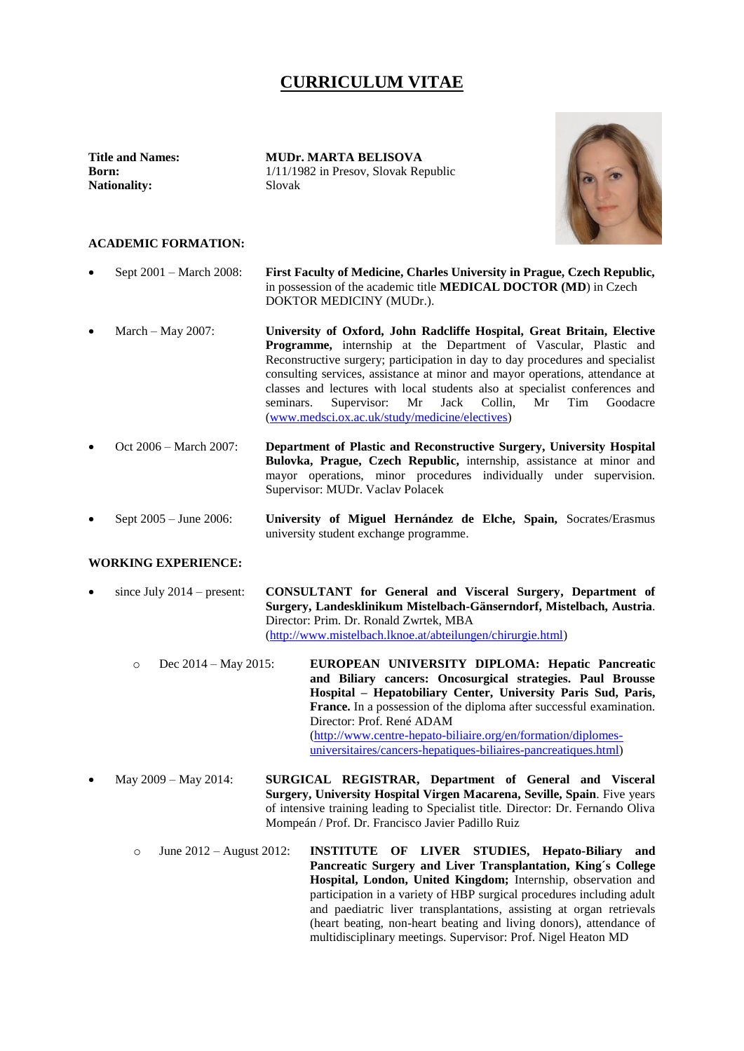## **CURRICULUM VITAE**

**Nationality:** Slovak

**Title and Names: MUDr. MARTA BELISOVA Born:** 1/11/1982 in Presov, Slovak Republic



## **ACADEMIC FORMATION:**

- Sept 2001 March 2008: **First Faculty of Medicine, Charles University in Prague, Czech Republic,** in possession of the academic title **MEDICAL DOCTOR (MD**) in Czech DOKTOR MEDICINY (MUDr.).
- March May 2007: **University of Oxford, John Radcliffe Hospital, Great Britain, Elective Programme,** internship at the Department of Vascular, Plastic and Reconstructive surgery; participation in day to day procedures and specialist consulting services, assistance at minor and mayor operations, attendance at classes and lectures with local students also at specialist conferences and seminars. Supervisor: Mr Jack Collin, Mr Tim Goodacre [\(www.medsci.ox.ac.uk/study/medicine/electives\)](http://www.medsci.ox.ac.uk/study/medicine/electives)
- Oct 2006 March 2007: **Department of Plastic and Reconstructive Surgery, University Hospital Bulovka, Prague, Czech Republic,** internship, assistance at minor and mayor operations, minor procedures individually under supervision. Supervisor: MUDr. Vaclav Polacek
- Sept 2005 June 2006: **University of Miguel Hernández de Elche, Spain,** Socrates/Erasmus university student exchange programme.

## **WORKING EXPERIENCE:**

- since July 2014 present: **CONSULTANT for General and Visceral Surgery, Department of Surgery, Landesklinikum Mistelbach-Gänserndorf, Mistelbach, Austria**. Director: Prim. Dr. Ronald Zwrtek, MBA [\(http://www.mistelbach.lknoe.at/abteilungen/chirurgie.html\)](http://www.mistelbach.lknoe.at/abteilungen/chirurgie.html)
	- o Dec 2014 May 2015: **EUROPEAN UNIVERSITY DIPLOMA: Hepatic Pancreatic and Biliary cancers: Oncosurgical strategies. Paul Brousse Hospital – Hepatobiliary Center, University Paris Sud, Paris, France.** In a possession of the diploma after successful examination. Director: Prof. René ADAM [\(http://www.centre-hepato-biliaire.org/en/formation/diplomes](http://www.centre-hepato-biliaire.org/en/formation/diplomes-universitaires/cancers-hepatiques-biliaires-pancreatiques.html)[universitaires/cancers-hepatiques-biliaires-pancreatiques.html\)](http://www.centre-hepato-biliaire.org/en/formation/diplomes-universitaires/cancers-hepatiques-biliaires-pancreatiques.html)
- May 2009 May 2014: **SURGICAL REGISTRAR, Department of General and Visceral Surgery, University Hospital Virgen Macarena, Seville, Spain**. Five years of intensive training leading to Specialist title. Director: Dr. Fernando Oliva Mompeán / Prof. Dr. Francisco Javier Padillo Ruiz
	- o June 2012 August 2012: **INSTITUTE OF LIVER STUDIES, Hepato-Biliary and Pancreatic Surgery and Liver Transplantation, King´s College Hospital, London, United Kingdom;** Internship, observation and participation in a variety of HBP surgical procedures including adult and paediatric liver transplantations, assisting at organ retrievals (heart beating, non-heart beating and living donors), attendance of multidisciplinary meetings. Supervisor: Prof. Nigel Heaton MD